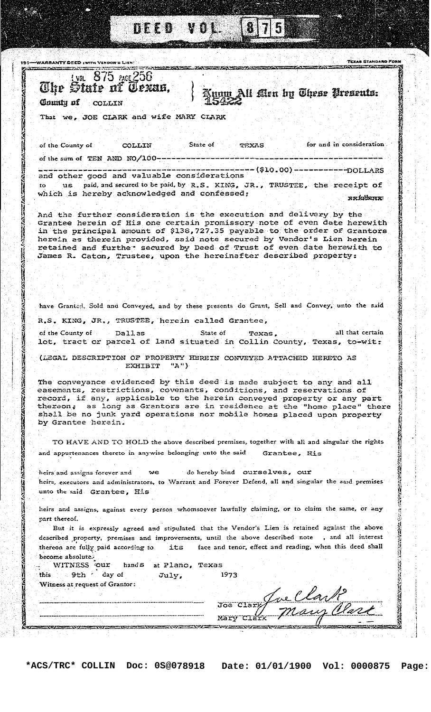| <b>The State of Texas.</b><br>num All Men by These Presents:<br>Clumin of COLLIN<br>That we, JOE CLARK and wife MARY CLARK<br>State of<br>TEXAS<br>COLLIN<br>State of<br>Texas.<br>EXHIBIT "A")<br>we do hereby bind ourselves, our<br>into the said Grantee, His<br>its<br>Texas<br>at Plano.<br>WITNESS :our<br>hand S<br>1973<br>9th day of<br>July,<br>Witness at request of Grantor:                                                                                                                                                                                                                                                                                                                                                                                                                                                                                                                                                                                                                                                                                                                                                                                                                                                                                                      | WARRANTY DEED (WITH VENDON'S LIEN) | TEXAS STANDARO I<br><b>CONTRACTOR</b> CONTRACTOR |
|------------------------------------------------------------------------------------------------------------------------------------------------------------------------------------------------------------------------------------------------------------------------------------------------------------------------------------------------------------------------------------------------------------------------------------------------------------------------------------------------------------------------------------------------------------------------------------------------------------------------------------------------------------------------------------------------------------------------------------------------------------------------------------------------------------------------------------------------------------------------------------------------------------------------------------------------------------------------------------------------------------------------------------------------------------------------------------------------------------------------------------------------------------------------------------------------------------------------------------------------------------------------------------------------|------------------------------------|--------------------------------------------------|
|                                                                                                                                                                                                                                                                                                                                                                                                                                                                                                                                                                                                                                                                                                                                                                                                                                                                                                                                                                                                                                                                                                                                                                                                                                                                                                |                                    |                                                  |
| of the County of<br>of the sum of TEN AND NO/100 ---<br>part thereof.<br>described property, premises and improvements, until the above described note<br>thereon are fully paid according to<br>become absolute.<br>this                                                                                                                                                                                                                                                                                                                                                                                                                                                                                                                                                                                                                                                                                                                                                                                                                                                                                                                                                                                                                                                                      |                                    |                                                  |
|                                                                                                                                                                                                                                                                                                                                                                                                                                                                                                                                                                                                                                                                                                                                                                                                                                                                                                                                                                                                                                                                                                                                                                                                                                                                                                |                                    |                                                  |
| -(\$10.00)-------------DOLLARS<br>us paid, and secured to be paid, by R.S. KING, JR., TRUSTEE, the receipt of<br>xxfotniex:<br>Grantee herein of His one certain promissory note of even date herewith<br>in the principal amount of \$138,727.35 payable to the order of Grantors<br>retained and furthe secured by Deed of Trust of even date herewith to<br>have Granted, Sold and Conveyed, and by these presents do Grant, Sell and Convey, unto the said<br>all that certain<br>lot, tract or parcel of land situated in Collin County, Texas, to-wit:<br>record, if any, applicable to the herein conveyed property or any part<br>thereon. as long as Grantors are in residence at the "home place" there<br>shall be no junk yard operations nor mobile homes placed upon property<br>TO HAVE AND TO HOLD the above described premises, together with all and singular the rights<br>heirs, executors and administrators, to Warrant and Forever Defend, all and singular the said premises<br>heirs and assigns, against every person whomsoever lawfully claiming, or to claim the same, or any<br>But it is expressly agreed and stipulated that the Vendor's Lien is retained against the above<br>, and all interest<br>face and tenor, effect and reading, when this deed shall |                                    | for and in consideration                         |
| and other good and valuable considerations<br>which is hereby acknowledged and confessed;<br>And the further consideration is the execution and delivery by the<br>herein as therein provided, said note secured by Vendor's Lien herein<br>James R. Caton, Trustee, upon the hereinafter described property:                                                                                                                                                                                                                                                                                                                                                                                                                                                                                                                                                                                                                                                                                                                                                                                                                                                                                                                                                                                  |                                    |                                                  |
|                                                                                                                                                                                                                                                                                                                                                                                                                                                                                                                                                                                                                                                                                                                                                                                                                                                                                                                                                                                                                                                                                                                                                                                                                                                                                                |                                    |                                                  |
|                                                                                                                                                                                                                                                                                                                                                                                                                                                                                                                                                                                                                                                                                                                                                                                                                                                                                                                                                                                                                                                                                                                                                                                                                                                                                                |                                    |                                                  |
|                                                                                                                                                                                                                                                                                                                                                                                                                                                                                                                                                                                                                                                                                                                                                                                                                                                                                                                                                                                                                                                                                                                                                                                                                                                                                                |                                    |                                                  |
| R.S. KING, JR., TRUSTEE, herein called Grantee,<br>of the County of Dallas<br>(LEGAL DESCRIPTION OF PROPERTY HEREIN CONVEYED ATTACHED HERETO AS<br>The conveyance evidenced by this deed is made subject to any and all<br>easements, restrictions, covenants, conditions, and reservations of<br>by Grantee herein.<br>and appurtenances thereto in anywise belonging unto the said Grantee, His<br>heirs and assigns forever and                                                                                                                                                                                                                                                                                                                                                                                                                                                                                                                                                                                                                                                                                                                                                                                                                                                             |                                    |                                                  |
|                                                                                                                                                                                                                                                                                                                                                                                                                                                                                                                                                                                                                                                                                                                                                                                                                                                                                                                                                                                                                                                                                                                                                                                                                                                                                                |                                    |                                                  |
|                                                                                                                                                                                                                                                                                                                                                                                                                                                                                                                                                                                                                                                                                                                                                                                                                                                                                                                                                                                                                                                                                                                                                                                                                                                                                                |                                    |                                                  |
|                                                                                                                                                                                                                                                                                                                                                                                                                                                                                                                                                                                                                                                                                                                                                                                                                                                                                                                                                                                                                                                                                                                                                                                                                                                                                                |                                    |                                                  |
|                                                                                                                                                                                                                                                                                                                                                                                                                                                                                                                                                                                                                                                                                                                                                                                                                                                                                                                                                                                                                                                                                                                                                                                                                                                                                                |                                    |                                                  |
|                                                                                                                                                                                                                                                                                                                                                                                                                                                                                                                                                                                                                                                                                                                                                                                                                                                                                                                                                                                                                                                                                                                                                                                                                                                                                                |                                    |                                                  |
|                                                                                                                                                                                                                                                                                                                                                                                                                                                                                                                                                                                                                                                                                                                                                                                                                                                                                                                                                                                                                                                                                                                                                                                                                                                                                                |                                    |                                                  |
|                                                                                                                                                                                                                                                                                                                                                                                                                                                                                                                                                                                                                                                                                                                                                                                                                                                                                                                                                                                                                                                                                                                                                                                                                                                                                                |                                    |                                                  |
|                                                                                                                                                                                                                                                                                                                                                                                                                                                                                                                                                                                                                                                                                                                                                                                                                                                                                                                                                                                                                                                                                                                                                                                                                                                                                                |                                    |                                                  |
|                                                                                                                                                                                                                                                                                                                                                                                                                                                                                                                                                                                                                                                                                                                                                                                                                                                                                                                                                                                                                                                                                                                                                                                                                                                                                                |                                    |                                                  |
|                                                                                                                                                                                                                                                                                                                                                                                                                                                                                                                                                                                                                                                                                                                                                                                                                                                                                                                                                                                                                                                                                                                                                                                                                                                                                                |                                    |                                                  |
|                                                                                                                                                                                                                                                                                                                                                                                                                                                                                                                                                                                                                                                                                                                                                                                                                                                                                                                                                                                                                                                                                                                                                                                                                                                                                                |                                    |                                                  |
|                                                                                                                                                                                                                                                                                                                                                                                                                                                                                                                                                                                                                                                                                                                                                                                                                                                                                                                                                                                                                                                                                                                                                                                                                                                                                                |                                    |                                                  |
|                                                                                                                                                                                                                                                                                                                                                                                                                                                                                                                                                                                                                                                                                                                                                                                                                                                                                                                                                                                                                                                                                                                                                                                                                                                                                                |                                    |                                                  |
|                                                                                                                                                                                                                                                                                                                                                                                                                                                                                                                                                                                                                                                                                                                                                                                                                                                                                                                                                                                                                                                                                                                                                                                                                                                                                                |                                    |                                                  |
|                                                                                                                                                                                                                                                                                                                                                                                                                                                                                                                                                                                                                                                                                                                                                                                                                                                                                                                                                                                                                                                                                                                                                                                                                                                                                                |                                    |                                                  |
|                                                                                                                                                                                                                                                                                                                                                                                                                                                                                                                                                                                                                                                                                                                                                                                                                                                                                                                                                                                                                                                                                                                                                                                                                                                                                                |                                    |                                                  |
|                                                                                                                                                                                                                                                                                                                                                                                                                                                                                                                                                                                                                                                                                                                                                                                                                                                                                                                                                                                                                                                                                                                                                                                                                                                                                                |                                    |                                                  |
| Mär                                                                                                                                                                                                                                                                                                                                                                                                                                                                                                                                                                                                                                                                                                                                                                                                                                                                                                                                                                                                                                                                                                                                                                                                                                                                                            |                                    |                                                  |

 $\sqrt{2}$ 

př)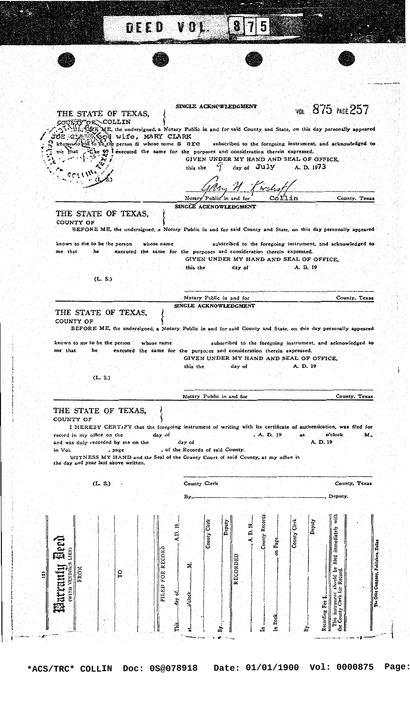| THE STATE OF TEXAS,                                                         | SINGLE ACKNOWLEDGMENT<br>VOL 875 PACE 257                                                                                                                                                     |
|-----------------------------------------------------------------------------|-----------------------------------------------------------------------------------------------------------------------------------------------------------------------------------------------|
|                                                                             | COUNTY OF COLLIN SOLUTE SUPER THE REAL STATE OF SAID COUNTY and State, on this day personally appeared                                                                                        |
| JOE CLATICLE wife, MARY CLARK<br>me that                                    | how a set to be the person S whose name S are subscribed to the foregoing instrument, and acknowledged to<br>the 49 I executed the same for the purposes and consideration therein expressed. |
|                                                                             | GIVEN UNDER MY HAND AND SEAL OF OFFICE,<br>day of $\overline{J}$ uly A.D. 1973<br>this the                                                                                                    |
|                                                                             |                                                                                                                                                                                               |
|                                                                             | H Kirchot<br>Cóllin<br>Notary Public in and for<br>County. Texas                                                                                                                              |
| THE STATE OF TEXAS,                                                         | SINCLE ACKNOWLEDGMENT                                                                                                                                                                         |
| <b>COUNTY OF</b>                                                            | BEFORE ME, the undersigned, a Notary Public in and for said County and State, on this day personally appeared                                                                                 |
| known to me to be the person<br>whose name                                  | subscribed to the foregoing instrument, and acknowledged to                                                                                                                                   |
| me that<br>he                                                               | executed the same for the purposes and consideration therein expressed.<br>GIVEN UNDER MY HAND AND SEAL OF OFFICE,                                                                            |
| (L. S.)                                                                     | A. D. 19<br>this the<br>day of                                                                                                                                                                |
|                                                                             |                                                                                                                                                                                               |
|                                                                             | Notary Public in and for<br>County, Texas<br>SINGLE ACKNOWLEDGMENT                                                                                                                            |
| THE STATE OF TEXAS,<br>COUNTY OF                                            | BEFORE ME, the undersigned, a Notary Public in and for said County and State, on this day personally appeared                                                                                 |
| known to me to be the person whose name<br>me that<br>he                    | subscribed to the foregoing instrument, and acknowledged to<br>executed the same for the purposes and consideration therein expressed.<br>GIVEN UNDER MY HAND AND SEAL OF OFFICE,             |
|                                                                             | A. D. 19<br>this the<br>day of                                                                                                                                                                |
| (L, S.)                                                                     |                                                                                                                                                                                               |
|                                                                             | Notary Public in and for<br>County, Texas                                                                                                                                                     |
| THE STATE OF TEXAS,<br>COUNTY OF                                            |                                                                                                                                                                                               |
| day of                                                                      | I HEREBY CERTIFY that the foregoing instrument of writing with its certificate of authentication, was filed for<br>, A. D. 19<br>o'clock<br>м.,<br>at                                         |
| , page                                                                      | A. D. 19<br>day of<br>, of the Records of said County.                                                                                                                                        |
| the day<br>and y                                                            | WITNESS MY HAND and the Seal of the County Court of said County, at my office in                                                                                                              |
| (L, S.)                                                                     | County Clerk<br>County, Texas                                                                                                                                                                 |
|                                                                             | Deputy.<br>в,                                                                                                                                                                                 |
| record in my office on the<br>and was duly recorded by me on the<br>in Vol. |                                                                                                                                                                                               |
|                                                                             | Deputy<br>Deputy                                                                                                                                                                              |
|                                                                             | County Records<br>$-$ , A, D, 19 $-$<br>County Clerk<br>County Clerk<br>A.D. 19.                                                                                                              |
|                                                                             | on Page                                                                                                                                                                                       |
| EROM<br>ς                                                                   | RECORDEI<br>۲                                                                                                                                                                                 |
| <b>Marranty Deed</b><br>FILED FOR RECORD                                    | This instrument should be filed immediately with<br>the County Clerk for Record.<br>The Odee Company, Publishers, Dalla<br>day of.<br>.o'clock<br>Recording Fee \$.                           |

 $\mathbb{Z}^N$ 

e.

H

 $\overline{\phantom{a}}$ 

 $\overline{\mathbf{f}}$ 

\*ACS/TRC\* COLLIN Doc: 0S@078918 Date: 01/01/1900 Vol: 0000875 Page: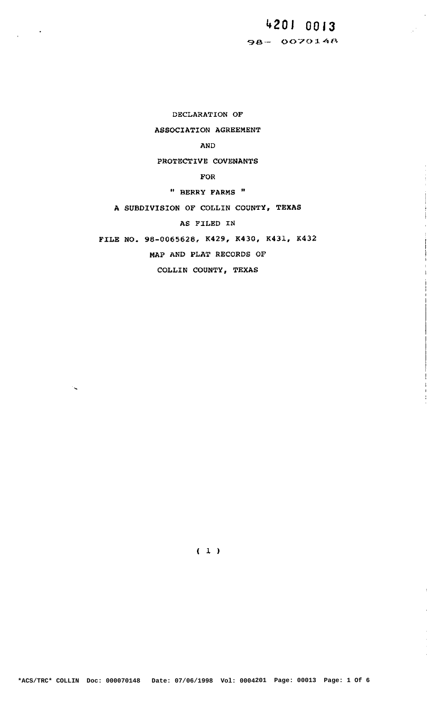## **hZOl OBIS 93— 0070143**

**DECLARATION OF ASSOCIATION AGREEMENT** 

**AND** 

**PROTECTIVE COVENANTS** 

**FOR** 

**" BERRY FARMS** "

**A SUBDIVISION 0F COLLIN COUNTY, TExAS** 

**AS FILED IN** 

**FILE No. 98-0065628, K429, K430. K431, K432** 

**MAP AND PLAT RECORDS OF** 

**COLLIN COUNTY, TEXAS** 

**(ll**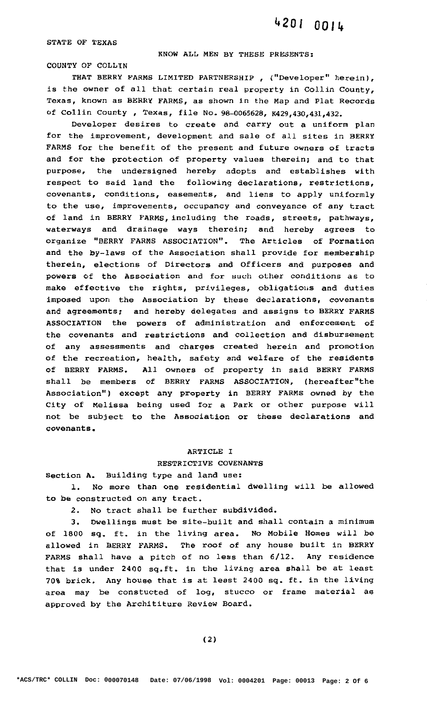**STATE OF TEKAS** 

## **KNOW ALL MEN BY THESE PRESENTS:**

**COUNTY OF COLLIN** 

**THAT BERRY FARMS LIMITED PARTNERSHIP , ("DeVeloper" herein), is the owner of all that certain real property in Collin County, Texas, known as BERRY FARMS, as shown in the Map and Plat Records of Collin County , Texas, file No. 98—0065628, "3,430,431,432.** 

**Developer desires to create and carry out a uniform plan for the improvement, development and sale of all sites in BERRY FARMS for the benefit of the present and future owners of tracts and for the protection of property values therein; and to that purpose, the undersigned hereby adopts and establishes with respect to said land the following declarations, restrictions, covenants, conditions, easements, and liens to apply uniformly to the use, improvements, occupancy and conveyance of any tract of land in BERRY FARMs,including the roads, streets, pathways, waterways and drainage ways therein; and hereby agrees to organize "BERRY FARMS ASSOCIATION". The Articles of Formation and the by—laws of the Association shall provide for membership therein, elections of Directors and Officers and purposes and powers of the Association and for such other conditions as to make effective the rights, privileges, obligations and duties imposed upon the Association by these declarations, covenants and agreements; and hereby delegates and assigns to BERRY FARMS ASSOCIATION the powers of administration and enforcement of the covenants and restrictions and collection and disbursement of any assessments and charges created herein and promotion of the recreation, health, safety and welfare of the residents of BERRY FARMS. All owners of property in said BERRY FARMS shall be members of BERRY FARMS ASSOCIATION, (hereafter"the Association") except any property in BERRY FARMS owned by the City of Melissa being used for a Park or other purpose will not be subject to the Association or these declarations and covenants.** 

#### **ARTICLE** I

#### **RESTRICTIVE COVENANTS**

**Section A. Building type and land use:** 

**1. No more than one residential dwelling will be allowed to be constructed on any tract.** 

**2. No tract shall be further subdivided.** 

**3. Dwellings must be site-built and shall contain a minimum of 1800 sq. ft. in the living area. No Mobile Homes will be allowed 1J1 BERRY FARMS. The roof of any house built in BERRY FARMS shall have a pitch of no less than 6/12. Any residence that is under 2400 sq.ft. in the living area shall be at least 70% brick. Any house that is at least 2400 sq. ft. in the living area may be constucted of log, stucco or frame material as approved by the Archititure Review Board.**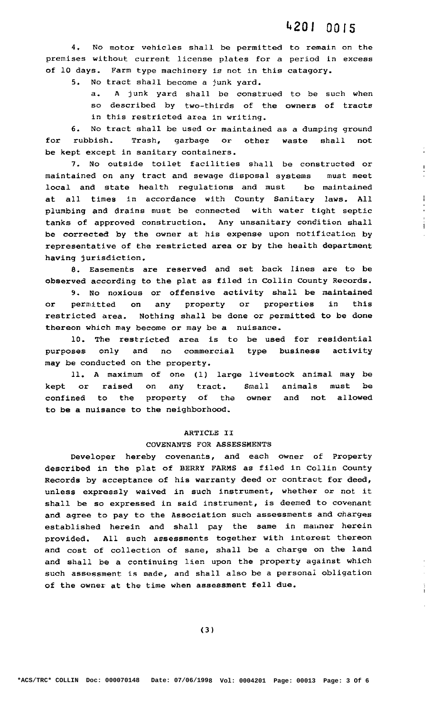**4. No motor vehicles shall be permitted to remain on the premises without current license plates for a period in excess of 10 days. Farm type machinery is not in this category.** 

**5. No tract shall become a junk yard.** 

**a. A junk yard shall be construed to be such when so described by two-thirds of the owners of tracts in this restricted area in writing.** 

**6. No tract shall be used or maintained as a dumping ground for rubbish. Trash, garbage or other waste shall not be kept except in sanitary containers.** 

**7. No outside toilet facilities shall be constructed or maintained on any tract and sewage disposal systems must meet local and state health regulations and must be maintained at all times in accordance with County Sanitary laws. All plumbing and drains must be connected with water tight septic tanks of approved construction. Any unsanitary condition shall be corrected by the owner at his expense upon notification by representative of the restricted area or by the health department having jurisdiction.** 

**8. Easements are reserved and set back lines are to be observed according to the plat as filed in Collin County Records.** 

**9. No noxious or offensive activity shall be maintained or permitted on any property or properties in this restricted area. Nothing shall be done or permitted to be done thereon which may become or may be a nuisance.** 

**10. The restricted area is to be used for residential purposes only and no commercial type business activity may be conducted on the property.** 

**11. A maximum of one (1) large livestock animal may be kept or raised on any tract. Small animals must be confined to the property of the owner and not allowed to be a nuisance to the neighborhood.** 

## **ARTICLE II**

#### **COVENANTS FOR ASSESSMENTS**

**Developer hereby covenants, and each owner of Property described in the plat of BERRY FARMS as filed in Collin County Records by acceptance of his warranty deed or contract for deed, unless expressly waived in such instrument, whether or not it shall be so expressed in said instrument, is deemed to covenant and agree to pay to the Association such assessments and charges established herein and shall pay the same in manner herein provided. All such assessments together with interest thereon and cost of collection of same, shall be a charge on the land and shall be a continuing lien upon the property against which such assessment is made, and shall also be a personal obligation of the owner at the time when assessment fall due.** 

İ.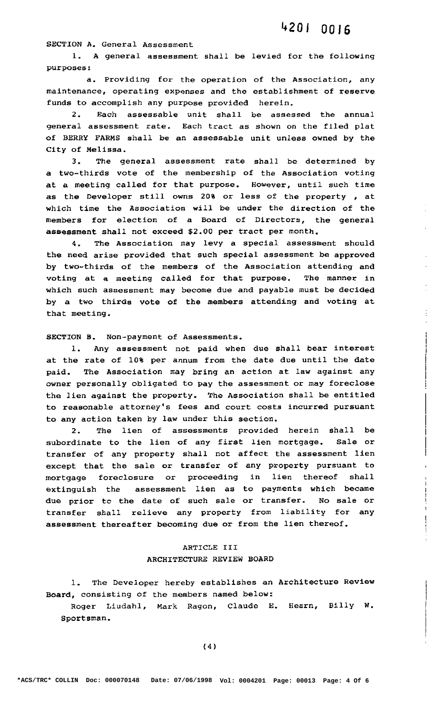**SECTION A. General Assessment** 

**1. A general assessment shall be levied for the following purposes:** 

**a. Providing for the operation of the Association, any maintenance, operating expenses and the establishment of reserve funds to accomplish any purpose provided herein.** 

**2. Each assessable unit shall be assessed the annual general assessment rate. Each tract as shown on the filed plat of BERRY FARMS shall be an assessable unit unless owned by the City of Melissa.** 

**3. The general assessment rate shall be determined by a two—thirds vote of the membership of the Association voting at a meeting called for that purpose. However, until such time as the Developer still owns 20% or less of the property , at which time the Association will be under the direction of the members for election of a Board of Directors, the general assessment shall not exceed \$2.00 per tract per month.** 

**4. The Association may levy a special asseSSment should the need arise provided that such special assessment be approved by two~thirds of the members of the Association attending and voting at a meeting called for that purpose. The manner in which such assessment may become due and payable must be decided by a two thirds vote of the members attending and voting at that meeting.** 

**SECTION B. Non—payment of Assessments.** 

**1. Any assessment not paid when due shall bear interest at the rate of 10% per annum from the date due until the date paid. The Association may bring an action at law against any owner personally obligated to pay the assessment or may foreclose the lien against the property. The Association shall be entitled to reasonable attorney's fees and court costs incurred pursuant to any action taken by law under this section.** 

**2. The lien of assessments provided herein shall be subordinate to the lien of any first lien mortgage. Sale or transfer of any property shall not affect the assessment lien except that the sale or transfer of any property pursuant to mortgage foreclosure or proceeding in lien thereof shall extinguish the assessment lien as to payments which became due prior to the date of such sale or transfer. No sale or transfer shall relieve any property from liability for any assessment thereafter becoming due or from the lien thereof.** 

## **ARTICLE III ARCHITECTURE** REVIEW **BOARD**

**l. The Developer hereby establishes an Architecture Review Board, consisting of the members named below:** 

**Roger Liudahl, Mark Ragon, Claude E. Hearn, Billy W. Sportsman.**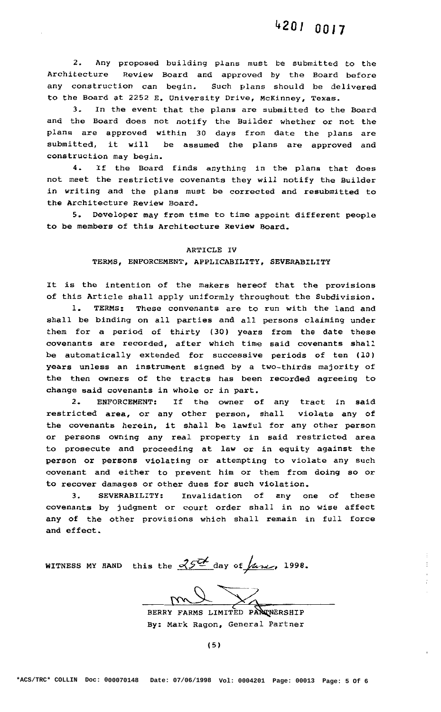**2. Any** proposed **building plans must be submitted to the Architecture** Review **Board and approved by the Board before any construction can begin. Such plans should be delivered to the Board at 2252 E. University Drive, McKinney, Texas.** 

**3. In the event that the plans are submitted to the Board and the Board does not notify the Builder whether or not the plans are approved within 30 days from date the plans are submitted, it will be assumed the plans are approved and construction may begin.** 

**4. If the Board finds anything in the plans that does not meet the restrictive covenants they will notify the Builder in writing and the plans must be corrected and resubmitted to the Architecture Review Board.** 

**5. Developer may from time to time appoint different people to be members of this Architecture Review Board.** 

#### **ARTICLE IV**

## **TERMS, ENFORCEMENT, APPLICABILITY, SEVERABILITY**

**It is the intention of the makers hereof that the provisions of this Article shall apply uniformly throughout the Subdivision.** 

**1. TERMS: These convenants are to run with the land and shall be binding on all parties and all persons claiming under them for a period of thirty (30) years from the date these covenants are recorded, after which time said covenants shall be automatically extended for successive periods of ten (10) years unless an instrument signed by a two—thirds majority of the then owners of the tracts has been recorded agreeing to change said covenants in whole or in part.** 

**2. ENFORCEMENT: If the owner of any tract in said restricted area, or any other person, shall violate any of the covenants herein, it shall be lawful for any other person or persons owning any real property in said restricted area to prosecute and proceeding at law or in equity against the person or persons violating or attempting to violate any such covenant and either to prevent him or them from doing so or to recover damages or other dues for such violation.** 

**3. SEVERABILITY: Invalidation of any one of these covenants by judgment or court order shall in no wise affect any of the other provisions which shall remain in full force and effect.** 

**WITNESS MY HAND** this the  $\frac{352}{4}$  day of  $\frac{100}{4}$ .

**BERRY may FARMS** LIMITED **pifirprasnip By: Mark Ragon, General Partner**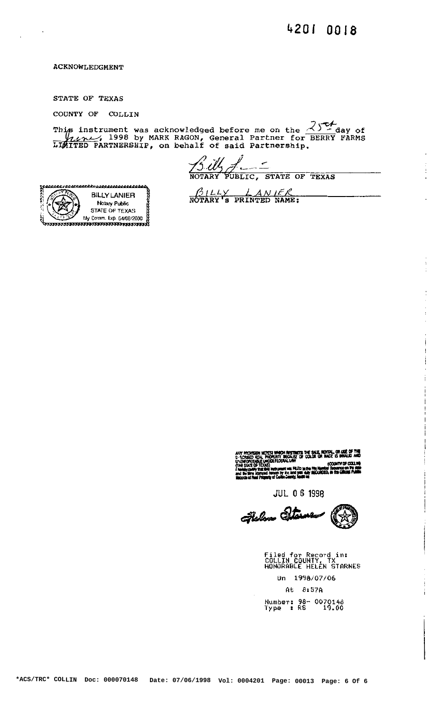#### **ACKNOWLEDGMENT**

STATE OF TEXAS

COUNTY OF COLLIN

This instrument was acknowledged before me on the  $\frac{25}{4}$  day of  $\frac{25}{4}$  day of  $\frac{25}{4}$  J. 1998 by MARK RAGON, General Partner for BERRY FARMS

<u>15 illy</u><br>NOTARY PUBLIC, STATE OF TEXAS

**BILLY LANIER** Notary Public STATE OF TEXAS My Comm. Exp. 04/08/2000

 $\frac{\beta_{ILLY}}{\text{NOTARY's PRINIED NAME}}$ 

rovision hotca which restricts the sale, rotel, or use of the<br>ISED Roll, Property because of Colúr or nace is inhald and<br>Orcealle Unor Federal Law<br>Columny the driving form in the fire Humble Soundain Politics<br>In Say Santoi

**JUL 0 6 1998** 

Felom Ster

Filed for Record in:<br>COLLIN COUNTY, TX<br>HONORABLE HELEN STARNES Un 1998/07/06  $At 8:57A$ Number: 98- 0070148<br>Type : RS 19.00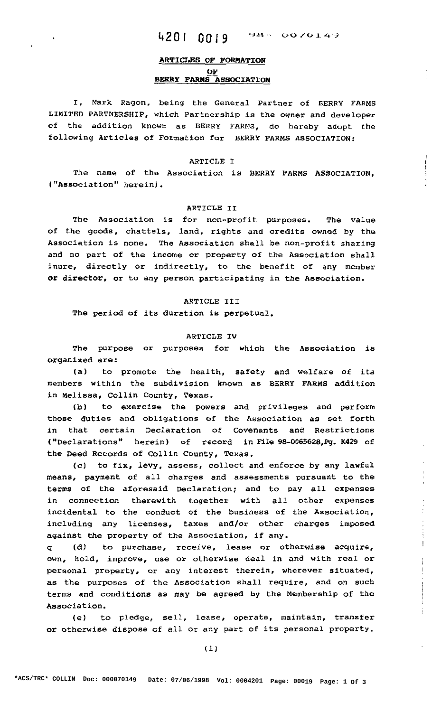## **, 1,20] 00,9 93~ 0070i4'3**

## **ARTICLES OF FORMATION OF BERRY FARMS ASSOCIATION**

**I, Mark Ragon, being the** General **Partner of BERRY FARMS LIMITED PARTNERSHIP, which Partnership is the owner and developer of the addition known as BERRY FARMS, do hereby adopt the following Articles of Formation for BERRY FARMS ASSOCIATION:** 

#### **ARTICLE** I

**The name of the Association is BERRY FARMS ASSOCIATION, ("Association" herein) .** 

#### **ARTICLE II**

**The Association is for non-profit purposes. The value of the goods, chattels, land, rights and credits owned by the Association is none. The Association shall be non—profit sharing and no part of the income or property of the Association shall inure, directly or indirectly, to the benefit of any member or director, or to any person participating in the Association.** 

#### **ARTICLE III**

**The period of its duration is perpetual.** 

#### **ARTICLE IV**

**The purpose or purposes for which the Association is organized are:** 

**(a) to promote the health, safety and welfare of its members within the subdivision known as BERRY FARMS addition in Melissa, Collin County, Texas.** 

**(b) to exercise the powers and privileges and perform those duties and obligations of the Association as set forth in that certain Declaration of Covenants and Restrictions ("Declarations" herein) of record in File 98-0065628,Pg. K429 of the Deed Records of Collin County, Texas.** 

**(c) to fix, levy, assess, collect and enforce by any lawful means, payment of all charges and assessments pursuant to the terms of the aforesaid Declaration; and to pay all expenses in connection therewith together with all other expenses incidental to the conduct of the business of the Association, including any licenses, taxes and/or other charges imposed against the property of the Association, if any.** 

q **(d) to purchase, receive, lease or otherwise acquire, own, hold, improve, use or otherwise deal in and with real or personal property, or any interest therein, wherever situated, as the purposes of the Association shall require, and on such terms and conditions as may be agreed by the Membership of the Association.** 

**(e) to pledge, sell, lease, operate, maintain, transfer or otherwise dispose of all or any part of its personal property.**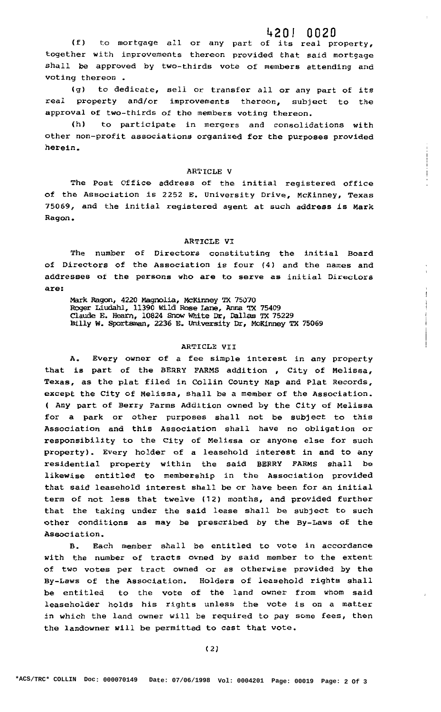## **1:20! 0020**

**(f) to mortgage all or any part of its real property, together with improvements thereon provided** that **said mortgage shall be approved by two—thirds vote of members attending and voting thereon .** 

**(g) to dedicate, sell or transfer all or any part of its real property and/or improvements thereon, subject to the approval of two—thirds of the members voting thereon.** 

**(h) to participate in mergers and consolidations with other non—profit associations organized for the purposes provided herein.** 

#### **ARTICLE V**

**The Post Office address of the initial registered office of the Association is 2252 E. University Drive, McKinney, Texas 75069, and the initial registered agent at such address is Mark Ragon.** 

#### **ARTICLE VI**

**The number of Directors constituting the initial Board of Directors of the Association is four (4) and the names and addresses of the persons who are to serve as initial Directors are:** 

**Mark Regen, 4220 Magnolia, McKinney TX** 75070 **Roger Liudahl, 11390 Wild Rose Lane, Anna Tx** 75409 **Claude E. Hearn, 10824 Snow White Dr, Dallas TX 75229 Billy W. Sportsman, 2236 E. University Dr, McKinney TX** 75069

#### **ARTICLE VII**

**A. Every owner of a fee simple interest in any property that is part of the BERRY FARMS addition , City of Melissa, Texas, as the plat filed in Collin County Map and Plat Records, except the City of Melissa, shall be a member of the Association. ( Any part of Berry Farms Addition owned by the City of Melissa for a park or other purposes shall not be subject to this Association and this Association shall have no obligation or responsibility to the City of Melissa or anyone else for such property). Every holder of a leasehold interest in and to any residential property within the said BERRY FARMS shall be likewise entitled to membership in the Association provided that said leasehold interest shall be or have been for an initial term of not less that twelve (12) months, and provided further that the taking under the said lease shall be subject to such other conditions as may be prescribed by the By—Laws of the Association.** 

**13. Each member shall be entitled to vote in accordance with the number of tracts owned by said member to the extent of two votes per tract owned or as otherwise provided by the By—Laws of the Association. Holders of leasehold rights shall be entitled to the vote of the land owner from whom said leaseholder holds his rights unless the vote is en: a matter in which the land owner will be required to pay some fees, then the landowner will be permitted to cast that vote.**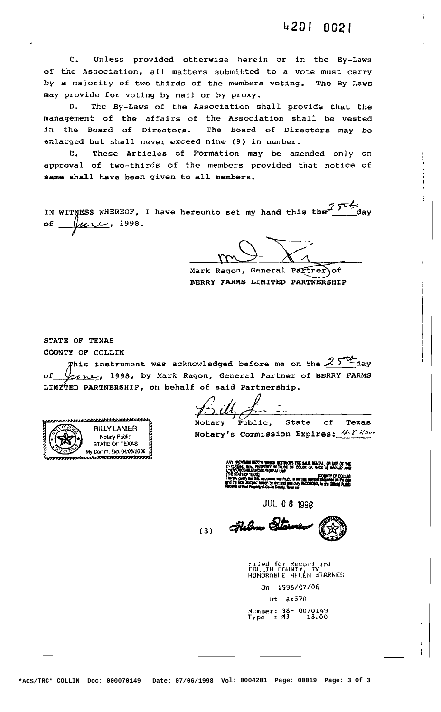**C. Unless provided otherwise herein or in the By-Laws of the Association, all matters submitted to a vote must carry by a majority of two-thirds of the members voting. The By-Laws may provide for voting by mail or by proxy.** 

**D. The By-Laws of the Association shall provide that the management of the affairs of the Association shall be vested in the Board of Directors. The Board of Directors may be enlarged but shall never exceed nine (9) in number.** 

**E. These Articles of Formation may be amended only on approval of two-thirds of the members provided that notice of same shall have been given to all members.** 

of  $\mu$ urce, 1998. IN WITNESS WHEREOF, I have hereunto set my hand this the 15th day

**Mark Ragon, General P tner of BERRY FARMS LIMITED PARTNERSHIP** 

**STATE OF TEXAS COUNTY OF COLLIN** 

**his instrument was acknowledged before me on the4525fQéday of** *,* **1998, by Mark Ragon, General Partner of BERRY FARMS LIN ED PARTNERSHIP, on behalf of said Partnership.** 

<u>nnnnnnnnnnnnn</u> **BILLY LANIER STATE OF TEXAS**  

*J*  **Notary Public, State of Texas** 

**INOTE: INSTERNAL RESOLUTE: Notary's Commission Expires:**  $4\sqrt{8}$  2000

(3) Fielen Star

**Filed for Record in: COLLIN COUNTY HDNURQELE** HELEN **STARHES On 1998/07/06 Qt 3:579 Number: 98- 0070149 The CONSTRUMERT CONSTRUMERT CONSTRUMERT CONSTRUMERT CONSTRUMERT CONSTRUMERT CONSTRUMERT CONSTRUMERT CONSTRUMERT CONSTRUMERT CONSTRUMERT CONSTRUMERT CONSTRUMERT CONSTRUMERT CONSTRUMERT CONSTRUMERT CONSTRUMERT CONSTRUMERT C**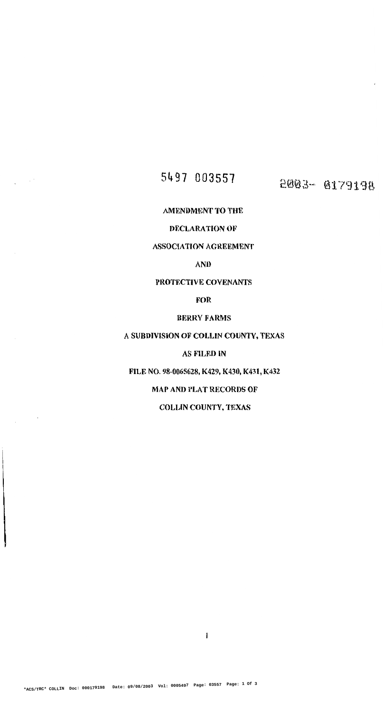# 5497 003557 **2003-0179198**

 $\sim 10^6$ 

 $\bar{\mathcal{A}}$ 

- 1

**\*ACS/TRC\* COLLIN Doc: 000179198 Date: 09/08/2003 Vol: 0005497 Page: 03557 Page: 1 Of 3**

**AMENDMENT TO THE** 

## **DECLARATION OF**

## **ASSOCIATION AGREEMENT**

**AND** 

## **PROTECTIVE COVENANTS**

**FOR** 

## **BERRY FARMS**

## **A SUBDIVISION OF COLLIN COUNTY, TEXAS**

## **AS FILED IN**

**FILE NO. 98-0065628, K429, K430, K431, K432** 

## **MAP AND PLAT RECORDS OF**

**COLLIN COUNTY, TEXAS** 

 $\mathbf{1}$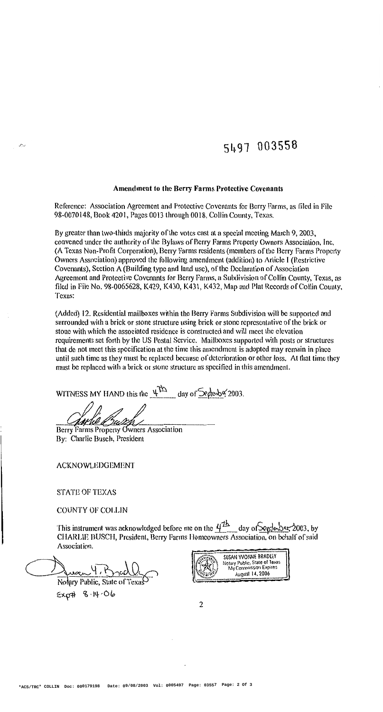**\*ACS/TRC\* COLLIN Doc: 000179198 Date: 09/08/2003 Vol: 0005497 Page: 03557 Page: 2 Of 3**

# $\sim$  **share 1003558**

### **Amendment to the Berry Farms Protective Covenants**

**Reference: Association Agreement and Protective Covenants for Berry Farms, as filed in File**  98-0070148, **Book 420], Pages** 0013 **through 0018, Collin County, Texas.** 

**By greater than two-thirds majority of the votes cast at a special meeting March 9, 2003, convened under the authority of the Bylaws of Berry Farms Property Owners Association, inc, (A Texas Non-Profit Corporation), Berry Farms residents (members of the Berry Farms Property Owners Association) approved the following amendment (addition) to Article I (Restrictive Covenants), Section A (Building type and land use), of the Declaration of Association Agreement and Protective Covenants for Berry Farms, a Subdivision of Collin County, Texas, as filed in File No. 98-0065628, K429, K430, K43 l , K432, Map and Plat Records of Collin County, Texas:** 

This instrument was acknowledged before me on the  $\frac{47h}{\sqrt{16}}$  day of Seple ber, 2003, by **CHARLIE BUSCl-l, President, Berry Farm Homeowners Association, on behalf of said** 

<u>Commence 4, Bradly</u> **Notary Public, State of Esq-n 'B-llt- Ola** 

**(Added) l2. Residential mailboxes within the Berry Farms Subdivision will be supported and surrounded with a brick or stone structure using brick or stone representative of the brick or stone with which the associated residence is constructed and will meet the elevat ion requirements set forth by the US Postal Service. Mailboxes supported with posts or structures that do not meet this specification at the time this amendment is adopted may remain in place until such time as they must be replaced because of deterioration or other loss. At that time they must be replaced with a brick or stone structure as specified in this amendment.** 

**WITNESS MY HAND this the**  $\frac{\mu^2 h}{\mu^2}$  **day of**  $\frac{\mu^2 h}{\mu^2}$  **(2003.** 

**Eerry Farms Property whers Association** 

**By: Charlie Busch, President** 

**ACKNOWLEDGEMEN'I'** 

**STATE OF TEXAS** 

**COUNTY 01" COLLIN** 

**Association.** 



 $\overline{2}$